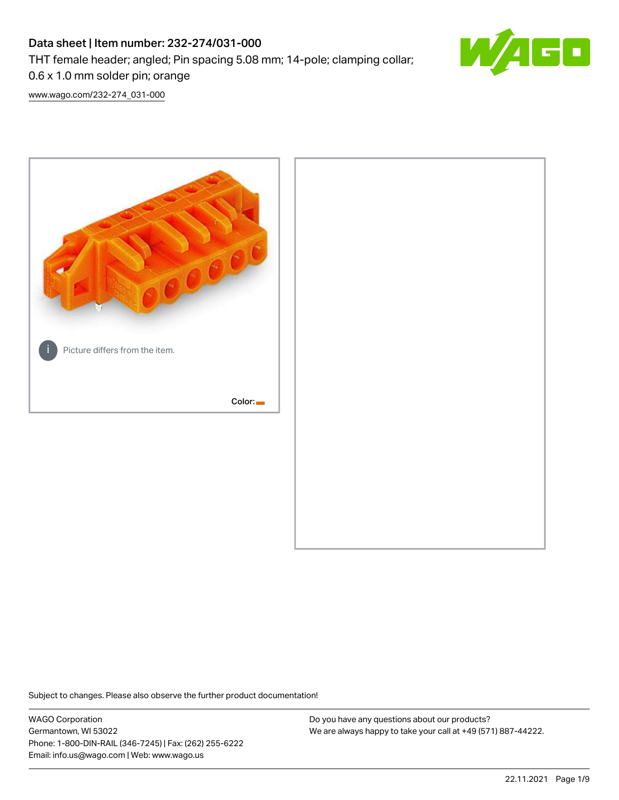# Data sheet | Item number: 232-274/031-000 THT female header; angled; Pin spacing 5.08 mm; 14-pole; clamping collar; 0.6 x 1.0 mm solder pin; orange



[www.wago.com/232-274\\_031-000](http://www.wago.com/232-274_031-000)



Subject to changes. Please also observe the further product documentation!

WAGO Corporation Germantown, WI 53022 Phone: 1-800-DIN-RAIL (346-7245) | Fax: (262) 255-6222 Email: info.us@wago.com | Web: www.wago.us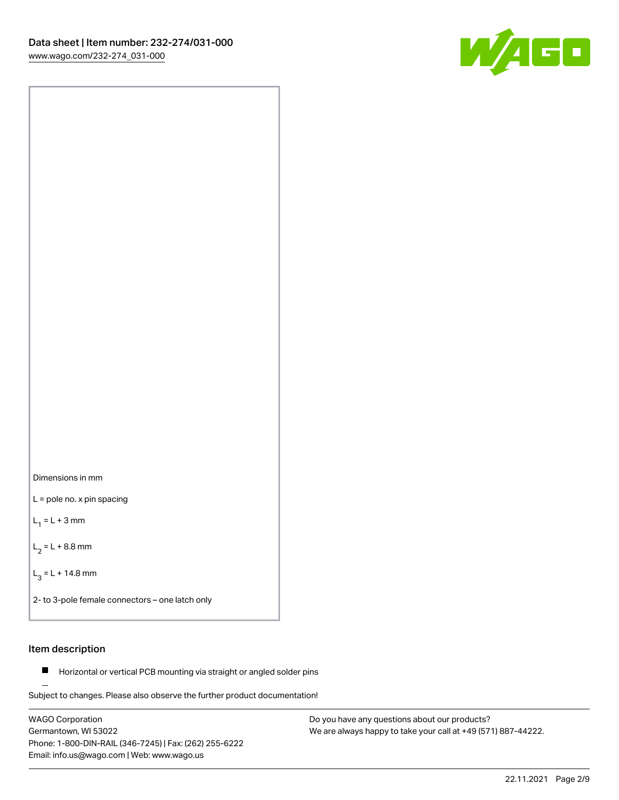

Dimensions in mm

L = pole no. x pin spacing

 $L_1 = L + 3$  mm

 $L_2 = L + 8.8$  mm

 $L_3 = L + 14.8$  mm

2- to 3-pole female connectors – one latch only

# Item description

**Horizontal or vertical PCB mounting via straight or angled solder pins** 

Subject to changes. Please also observe the further product documentation! For board-to-board and board-to-wire connections

WAGO Corporation Germantown, WI 53022 Phone: 1-800-DIN-RAIL (346-7245) | Fax: (262) 255-6222 Email: info.us@wago.com | Web: www.wago.us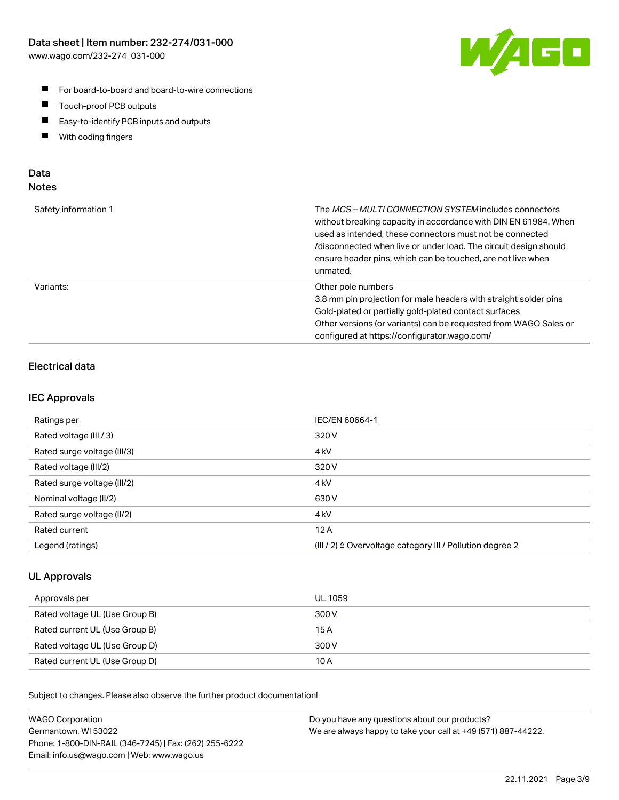

- For board-to-board and board-to-wire connections
- $\blacksquare$ Touch-proof PCB outputs
- $\blacksquare$ Easy-to-identify PCB inputs and outputs
- $\blacksquare$ With coding fingers

## Data **Notes**

| Safety information 1 | The <i>MCS – MULTI CONNECTION SYSTEM</i> includes connectors<br>without breaking capacity in accordance with DIN EN 61984. When<br>used as intended, these connectors must not be connected<br>/disconnected when live or under load. The circuit design should<br>ensure header pins, which can be touched, are not live when<br>unmated. |
|----------------------|--------------------------------------------------------------------------------------------------------------------------------------------------------------------------------------------------------------------------------------------------------------------------------------------------------------------------------------------|
| Variants:            | Other pole numbers<br>3.8 mm pin projection for male headers with straight solder pins<br>Gold-plated or partially gold-plated contact surfaces<br>Other versions (or variants) can be requested from WAGO Sales or<br>configured at https://configurator.wago.com/                                                                        |

# Electrical data

## IEC Approvals

| Ratings per                 | IEC/EN 60664-1                                                        |
|-----------------------------|-----------------------------------------------------------------------|
| Rated voltage (III / 3)     | 320 V                                                                 |
| Rated surge voltage (III/3) | 4 <sub>k</sub> V                                                      |
| Rated voltage (III/2)       | 320 V                                                                 |
| Rated surge voltage (III/2) | 4 <sub>kV</sub>                                                       |
| Nominal voltage (II/2)      | 630 V                                                                 |
| Rated surge voltage (II/2)  | 4 <sub>kV</sub>                                                       |
| Rated current               | 12A                                                                   |
| Legend (ratings)            | $(III / 2)$ $\triangle$ Overvoltage category III / Pollution degree 2 |

## UL Approvals

| Approvals per                  | UL 1059 |
|--------------------------------|---------|
| Rated voltage UL (Use Group B) | 300 V   |
| Rated current UL (Use Group B) | 15 A    |
| Rated voltage UL (Use Group D) | 300 V   |
| Rated current UL (Use Group D) | 10 A    |

Subject to changes. Please also observe the further product documentation!

| <b>WAGO Corporation</b>                                | Do you have any questions about our products?                 |
|--------------------------------------------------------|---------------------------------------------------------------|
| Germantown, WI 53022                                   | We are always happy to take your call at +49 (571) 887-44222. |
| Phone: 1-800-DIN-RAIL (346-7245)   Fax: (262) 255-6222 |                                                               |
| Email: info.us@wago.com   Web: www.wago.us             |                                                               |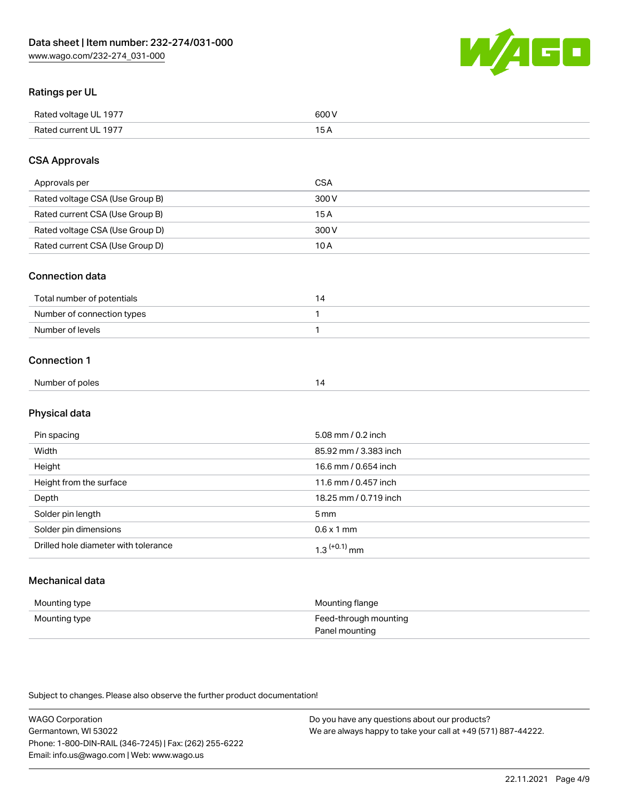WAGO

# Ratings per UL

| Rated voltage UL 1977 | 600 \<br>.   |
|-----------------------|--------------|
| Rated current UL 1977 | . . <i>.</i> |

# CSA Approvals

| Approvals per                   | CSA   |
|---------------------------------|-------|
| Rated voltage CSA (Use Group B) | 300 V |
| Rated current CSA (Use Group B) | 15 A  |
| Rated voltage CSA (Use Group D) | 300 V |
| Rated current CSA (Use Group D) | 10 A  |

## Connection data

| Total number of potentials |  |
|----------------------------|--|
| Number of connection types |  |
| Number of levels           |  |

#### Connection 1

| Number of poles<br>ہے ا |
|-------------------------|
|-------------------------|

# Physical data

| Pin spacing                          | 5.08 mm / 0.2 inch    |
|--------------------------------------|-----------------------|
| Width                                | 85.92 mm / 3.383 inch |
| Height                               | 16.6 mm / 0.654 inch  |
| Height from the surface              | 11.6 mm / 0.457 inch  |
| Depth                                | 18.25 mm / 0.719 inch |
| Solder pin length                    | 5 <sub>mm</sub>       |
| Solder pin dimensions                | $0.6 \times 1$ mm     |
| Drilled hole diameter with tolerance | $1.3$ $(+0.1)$ mm     |

# Mechanical data

| Mounting type | Mounting flange                         |
|---------------|-----------------------------------------|
| Mounting type | Feed-through mounting<br>Panel mounting |

Subject to changes. Please also observe the further product documentation!

| <b>WAGO Corporation</b>                                | Do you have any questions about our products?                 |
|--------------------------------------------------------|---------------------------------------------------------------|
| Germantown, WI 53022                                   | We are always happy to take your call at +49 (571) 887-44222. |
| Phone: 1-800-DIN-RAIL (346-7245)   Fax: (262) 255-6222 |                                                               |
| Email: info.us@wago.com   Web: www.wago.us             |                                                               |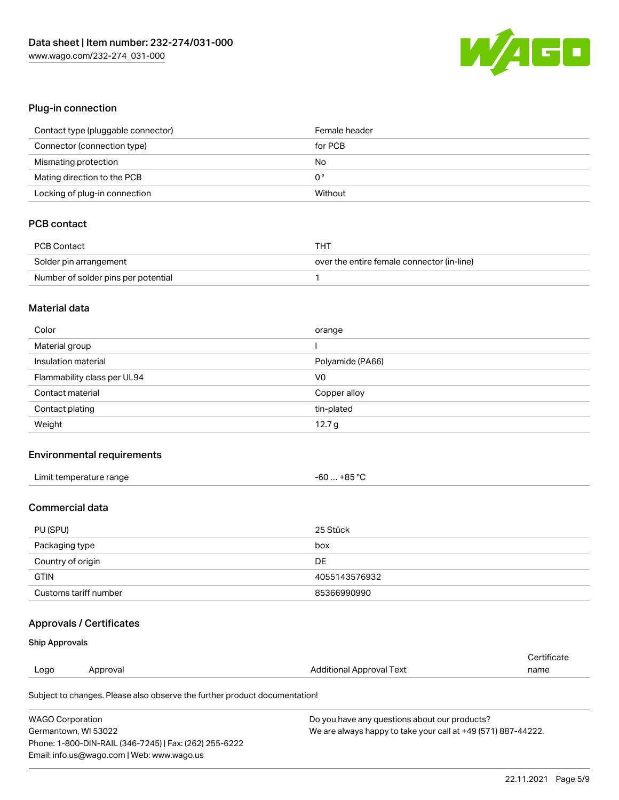

# Plug-in connection

| Contact type (pluggable connector) | Female header |
|------------------------------------|---------------|
| Connector (connection type)        | for PCB       |
| Mismating protection               | No            |
| Mating direction to the PCB        | 0°            |
| Locking of plug-in connection      | Without       |

# PCB contact

| <b>PCB Contact</b>                  | THT                                        |
|-------------------------------------|--------------------------------------------|
| Solder pin arrangement              | over the entire female connector (in-line) |
| Number of solder pins per potential |                                            |

#### Material data

| Color                       | orange           |
|-----------------------------|------------------|
| Material group              |                  |
| Insulation material         | Polyamide (PA66) |
| Flammability class per UL94 | V <sub>0</sub>   |
| Contact material            | Copper alloy     |
| Contact plating             | tin-plated       |
| Weight                      | 12.7 g           |

## Environmental requirements

| Limit temperature range<br>. | . +85 °Ր<br>-60 |  |
|------------------------------|-----------------|--|
|------------------------------|-----------------|--|

# Commercial data

| PU (SPU)              | 25 Stück      |
|-----------------------|---------------|
| Packaging type        | box           |
| Country of origin     | <b>DE</b>     |
| <b>GTIN</b>           | 4055143576932 |
| Customs tariff number | 85366990990   |

# Approvals / Certificates

#### Ship Approvals

| Logo | Approval                                                                   | Additional Approval Text | Certificate<br>name |
|------|----------------------------------------------------------------------------|--------------------------|---------------------|
|      | Subject to changes. Please also observe the further product documentation! |                          |                     |

| <b>WAGO Corporation</b>                                | Do you have any questions about our products?                 |
|--------------------------------------------------------|---------------------------------------------------------------|
| Germantown, WI 53022                                   | We are always happy to take your call at +49 (571) 887-44222. |
| Phone: 1-800-DIN-RAIL (346-7245)   Fax: (262) 255-6222 |                                                               |
| Email: info.us@wago.com   Web: www.wago.us             |                                                               |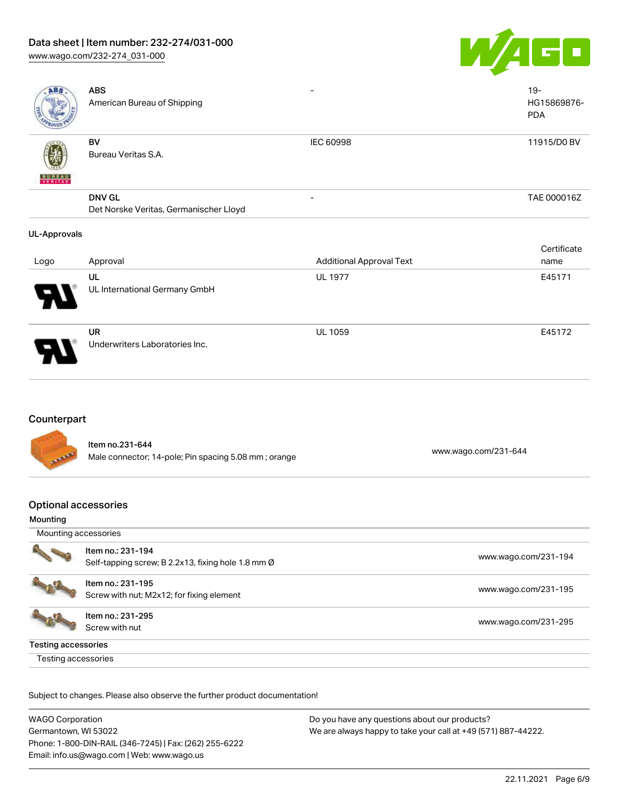# Data sheet | Item number: 232-274/031-000

[www.wago.com/232-274\\_031-000](http://www.wago.com/232-274_031-000)



| ABS                      | <b>ABS</b><br>American Bureau of Shipping               |                                 | $19 -$<br>HG15869876-<br><b>PDA</b> |
|--------------------------|---------------------------------------------------------|---------------------------------|-------------------------------------|
| <b>BUNEAU</b><br>VERITAS | BV<br>Bureau Veritas S.A.                               | IEC 60998                       | 11915/D0 BV                         |
|                          | <b>DNV GL</b><br>Det Norske Veritas, Germanischer Lloyd |                                 | TAE 000016Z                         |
| UL-Approvals             |                                                         |                                 |                                     |
|                          |                                                         |                                 | Certificate                         |
| Logo                     | Approval                                                | <b>Additional Approval Text</b> | name                                |
|                          | UL<br>UL International Germany GmbH                     | <b>UL 1977</b>                  | E45171                              |

## Counterpart

Item no.231-644 nem 10.231-044<br>Male connector; 14-pole; Pin spacing 5.08 mm ; orange [www.wago.com/231-644](https://www.wago.com/231-644)

Underwriters Laboratories Inc.

UL 1059 E45172

# Optional accessories

UR

#### Mounting

| Mounting accessories |                                                                         |                      |  |  |
|----------------------|-------------------------------------------------------------------------|----------------------|--|--|
|                      | Item no.: 231-194<br>Self-tapping screw; B 2.2x13, fixing hole 1.8 mm Ø | www.wago.com/231-194 |  |  |
|                      | Item no.: 231-195<br>Screw with nut; M2x12; for fixing element          | www.wago.com/231-195 |  |  |
|                      | Item no.: 231-295<br>Screw with nut                                     | www.wago.com/231-295 |  |  |
| Testing accessories  |                                                                         |                      |  |  |
| Testing accessories  |                                                                         |                      |  |  |

Subject to changes. Please also observe the further product documentation!

| <b>WAGO Corporation</b>                                | Do you have any questions about our products?                 |
|--------------------------------------------------------|---------------------------------------------------------------|
| Germantown, WI 53022                                   | We are always happy to take your call at +49 (571) 887-44222. |
| Phone: 1-800-DIN-RAIL (346-7245)   Fax: (262) 255-6222 |                                                               |
| Email: info.us@wago.com   Web: www.wago.us             |                                                               |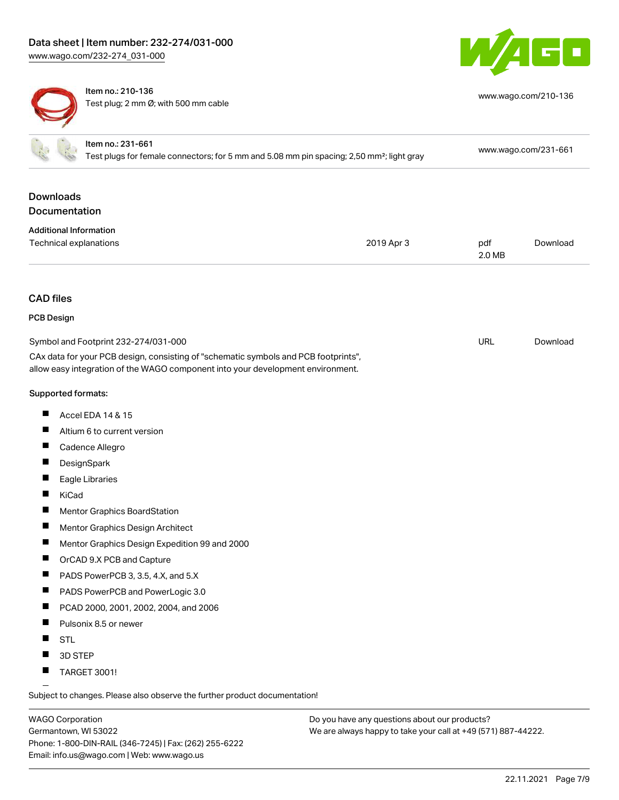



Item no.: 210-136 Test plug; 2 mm Ø; with 500 mm cable

| www.wago.com/210-136 |  |  |  |  |
|----------------------|--|--|--|--|
|----------------------|--|--|--|--|

|                                   | Item no.: 231-661<br>Test plugs for female connectors; for 5 mm and 5.08 mm pin spacing; 2,50 mm <sup>2</sup> ; light gray                                             |            |               | www.wago.com/231-661 |  |
|-----------------------------------|------------------------------------------------------------------------------------------------------------------------------------------------------------------------|------------|---------------|----------------------|--|
| <b>Downloads</b><br>Documentation |                                                                                                                                                                        |            |               |                      |  |
| <b>Additional Information</b>     |                                                                                                                                                                        |            |               |                      |  |
| Technical explanations            |                                                                                                                                                                        | 2019 Apr 3 | pdf<br>2.0 MB | Download             |  |
| <b>CAD files</b>                  |                                                                                                                                                                        |            |               |                      |  |
| <b>PCB Design</b>                 |                                                                                                                                                                        |            |               |                      |  |
|                                   | Symbol and Footprint 232-274/031-000                                                                                                                                   |            | <b>URL</b>    | Download             |  |
|                                   | CAx data for your PCB design, consisting of "schematic symbols and PCB footprints",<br>allow easy integration of the WAGO component into your development environment. |            |               |                      |  |
| Supported formats:                |                                                                                                                                                                        |            |               |                      |  |
| H.                                | Accel EDA 14 & 15                                                                                                                                                      |            |               |                      |  |
| ш                                 | Altium 6 to current version                                                                                                                                            |            |               |                      |  |
| П                                 | Cadence Allegro                                                                                                                                                        |            |               |                      |  |
|                                   | DesignSpark                                                                                                                                                            |            |               |                      |  |
| L                                 | Eagle Libraries                                                                                                                                                        |            |               |                      |  |
| П<br>KiCad                        |                                                                                                                                                                        |            |               |                      |  |
|                                   | Mentor Graphics BoardStation                                                                                                                                           |            |               |                      |  |
| ш                                 | Mentor Graphics Design Architect                                                                                                                                       |            |               |                      |  |
| Ц                                 | Mentor Graphics Design Expedition 99 and 2000                                                                                                                          |            |               |                      |  |
|                                   | OrCAD 9.X PCB and Capture                                                                                                                                              |            |               |                      |  |
| $\blacksquare$                    | PADS PowerPCB 3, 3.5, 4.X, and 5.X                                                                                                                                     |            |               |                      |  |
|                                   | PADS PowerPCB and PowerLogic 3.0                                                                                                                                       |            |               |                      |  |
| П                                 | PCAD 2000, 2001, 2002, 2004, and 2006                                                                                                                                  |            |               |                      |  |
| ш                                 | Pulsonix 8.5 or newer                                                                                                                                                  |            |               |                      |  |
| H<br><b>STL</b>                   |                                                                                                                                                                        |            |               |                      |  |
| H.                                | 3D STEP                                                                                                                                                                |            |               |                      |  |
| П                                 | <b>TARGET 3001!</b>                                                                                                                                                    |            |               |                      |  |

Subject to changes. Please also observe the further product documentation!

WAGO Corporation Germantown, WI 53022 Phone: 1-800-DIN-RAIL (346-7245) | Fax: (262) 255-6222 Email: info.us@wago.com | Web: www.wago.us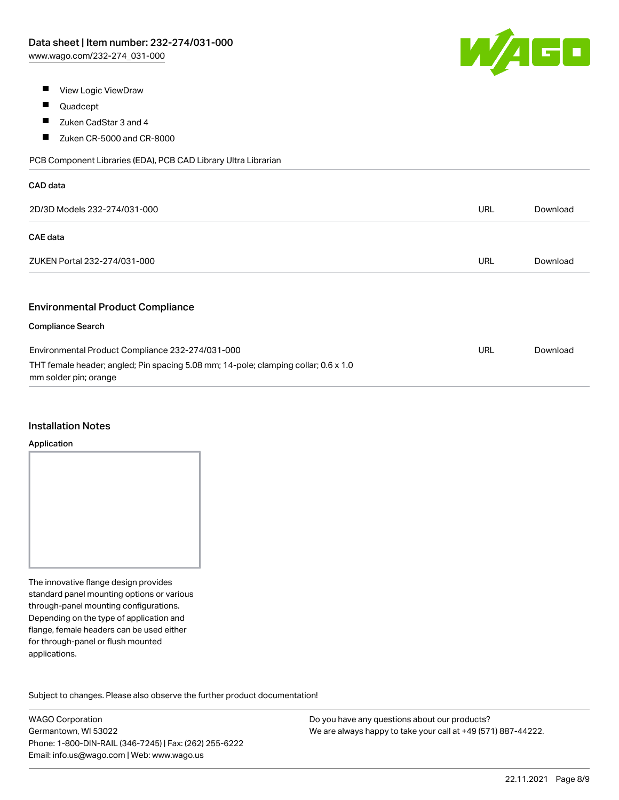

- $\blacksquare$ View Logic ViewDraw
- $\blacksquare$ Quadcept
- $\blacksquare$ Zuken CadStar 3 and 4
- $\blacksquare$ Zuken CR-5000 and CR-8000

PCB Component Libraries (EDA), PCB CAD Library Ultra Librarian

| CAD data                                                                                                     |            |          |
|--------------------------------------------------------------------------------------------------------------|------------|----------|
| 2D/3D Models 232-274/031-000                                                                                 | <b>URL</b> | Download |
| <b>CAE</b> data                                                                                              |            |          |
| ZUKEN Portal 232-274/031-000                                                                                 | URL        | Download |
|                                                                                                              |            |          |
| <b>Environmental Product Compliance</b>                                                                      |            |          |
| <b>Compliance Search</b>                                                                                     |            |          |
| Environmental Product Compliance 232-274/031-000                                                             | URL        | Download |
| THT female header; angled; Pin spacing 5.08 mm; 14-pole; clamping collar; 0.6 x 1.0<br>mm solder pin; orange |            |          |

#### Installation Notes

#### Application

The innovative flange design provides standard panel mounting options or various through-panel mounting configurations. Depending on the type of application and flange, female headers can be used either for through-panel or flush mounted applications.

Subject to changes. Please also observe the further product documentation! Product family

WAGO Corporation Germantown, WI 53022 Phone: 1-800-DIN-RAIL (346-7245) | Fax: (262) 255-6222 Email: info.us@wago.com | Web: www.wago.us